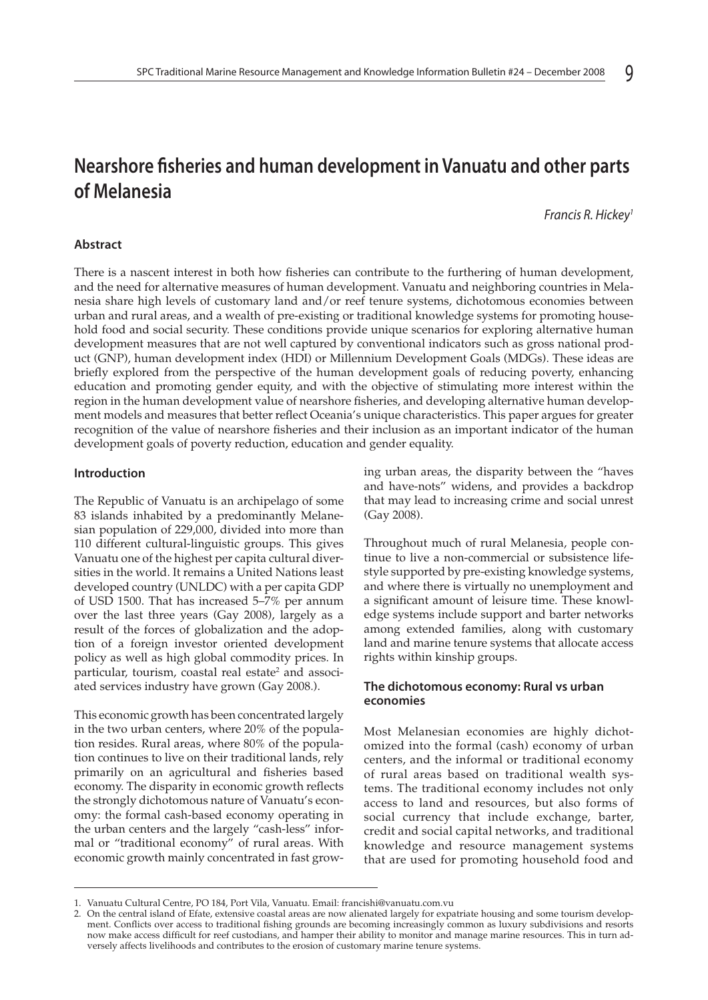# **Nearshore fisheries and human development in Vanuatu and other parts of Melanesia**

*Francis R. Hickey1*

# **Abstract**

There is a nascent interest in both how fisheries can contribute to the furthering of human development, and the need for alternative measures of human development. Vanuatu and neighboring countries in Melanesia share high levels of customary land and/or reef tenure systems, dichotomous economies between urban and rural areas, and a wealth of pre-existing or traditional knowledge systems for promoting household food and social security. These conditions provide unique scenarios for exploring alternative human development measures that are not well captured by conventional indicators such as gross national product (GNP), human development index (HDI) or Millennium Development Goals (MDGs). These ideas are briefly explored from the perspective of the human development goals of reducing poverty, enhancing education and promoting gender equity, and with the objective of stimulating more interest within the region in the human development value of nearshore fisheries, and developing alternative human development models and measures that better reflect Oceania's unique characteristics. This paper argues for greater recognition of the value of nearshore fisheries and their inclusion as an important indicator of the human development goals of poverty reduction, education and gender equality.

#### **Introduction**

The Republic of Vanuatu is an archipelago of some 83 islands inhabited by a predominantly Melanesian population of 229,000, divided into more than 110 different cultural-linguistic groups. This gives Vanuatu one of the highest per capita cultural diversities in the world. It remains a United Nations least developed country (UNLDC) with a per capita GDP of USD 1500. That has increased 5–7% per annum over the last three years (Gay 2008), largely as a result of the forces of globalization and the adoption of a foreign investor oriented development policy as well as high global commodity prices. In particular, tourism, coastal real estate<sup>2</sup> and associated services industry have grown (Gay 2008*.*).

This economic growth has been concentrated largely in the two urban centers, where 20% of the population resides. Rural areas, where 80% of the population continues to live on their traditional lands, rely primarily on an agricultural and fisheries based economy. The disparity in economic growth reflects the strongly dichotomous nature of Vanuatu's economy: the formal cash-based economy operating in the urban centers and the largely "cash-less" informal or "traditional economy" of rural areas. With economic growth mainly concentrated in fast growing urban areas, the disparity between the "haves and have-nots" widens, and provides a backdrop that may lead to increasing crime and social unrest (Gay 2008).

Throughout much of rural Melanesia, people continue to live a non-commercial or subsistence lifestyle supported by pre-existing knowledge systems, and where there is virtually no unemployment and a significant amount of leisure time. These knowledge systems include support and barter networks among extended families, along with customary land and marine tenure systems that allocate access rights within kinship groups.

## **The dichotomous economy: Rural vs urban economies**

Most Melanesian economies are highly dichotomized into the formal (cash) economy of urban centers, and the informal or traditional economy of rural areas based on traditional wealth systems. The traditional economy includes not only access to land and resources, but also forms of social currency that include exchange, barter, credit and social capital networks, and traditional knowledge and resource management systems that are used for promoting household food and

<sup>1.</sup> Vanuatu Cultural Centre, PO 184, Port Vila, Vanuatu. Email: francishi@vanuatu.com.vu

<sup>2.</sup> On the central island of Efate, extensive coastal areas are now alienated largely for expatriate housing and some tourism development. Conflicts over access to traditional fishing grounds are becoming increasingly common as luxury subdivisions and resorts now make access difficult for reef custodians, and hamper their ability to monitor and manage marine resources. This in turn adversely affects livelihoods and contributes to the erosion of customary marine tenure systems.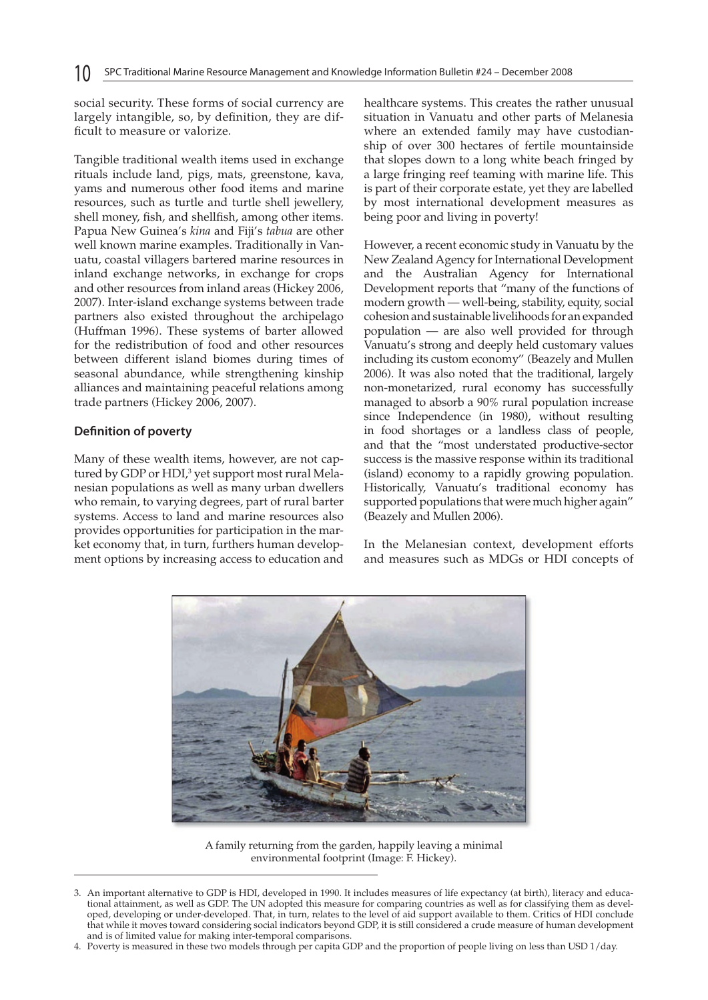social security. These forms of social currency are largely intangible, so, by definition, they are difficult to measure or valorize.

Tangible traditional wealth items used in exchange rituals include land, pigs, mats, greenstone, kava, yams and numerous other food items and marine resources, such as turtle and turtle shell jewellery, shell money, fish, and shellfish, among other items. Papua New Guinea's *kina* and Fiji's *tabua* are other well known marine examples. Traditionally in Vanuatu, coastal villagers bartered marine resources in inland exchange networks, in exchange for crops and other resources from inland areas (Hickey 2006, 2007). Inter-island exchange systems between trade partners also existed throughout the archipelago (Huffman 1996). These systems of barter allowed for the redistribution of food and other resources between different island biomes during times of seasonal abundance, while strengthening kinship alliances and maintaining peaceful relations among trade partners (Hickey 2006, 2007).

### **Definition of poverty**

Many of these wealth items, however, are not captured by GDP or HDI,<sup>3</sup> yet support most rural Melanesian populations as well as many urban dwellers who remain, to varying degrees, part of rural barter systems. Access to land and marine resources also provides opportunities for participation in the market economy that, in turn, furthers human development options by increasing access to education and healthcare systems. This creates the rather unusual situation in Vanuatu and other parts of Melanesia where an extended family may have custodianship of over 300 hectares of fertile mountainside that slopes down to a long white beach fringed by a large fringing reef teaming with marine life. This is part of their corporate estate, yet they are labelled by most international development measures as being poor and living in poverty!

However, a recent economic study in Vanuatu by the New Zealand Agency for International Development and the Australian Agency for International Development reports that "many of the functions of modern growth — well-being, stability, equity, social cohesion and sustainable livelihoods for an expanded population — are also well provided for through Vanuatu's strong and deeply held customary values including its custom economy" (Beazely and Mullen 2006). It was also noted that the traditional, largely non-monetarized, rural economy has successfully managed to absorb a 90% rural population increase since Independence (in 1980), without resulting in food shortages or a landless class of people, and that the "most understated productive-sector success is the massive response within its traditional (island) economy to a rapidly growing population. Historically, Vanuatu's traditional economy has supported populations that were much higher again" (Beazely and Mullen 2006).

In the Melanesian context, development efforts and measures such as MDGs or HDI concepts of



A family returning from the garden, happily leaving a minimal environmental footprint (Image: F. Hickey).

<sup>3.</sup> An important alternative to GDP is HDI, developed in 1990. It includes measures of life expectancy (at birth), literacy and educational attainment, as well as GDP. The UN adopted this measure for comparing countries as well as for classifying them as developed, developing or under-developed. That, in turn, relates to the level of aid support available to them. Critics of HDI conclude that while it moves toward considering social indicators beyond GDP, it is still considered a crude measure of human development and is of limited value for making inter-temporal comparisons.

<sup>4.</sup> Poverty is measured in these two models through per capita GDP and the proportion of people living on less than USD 1/day.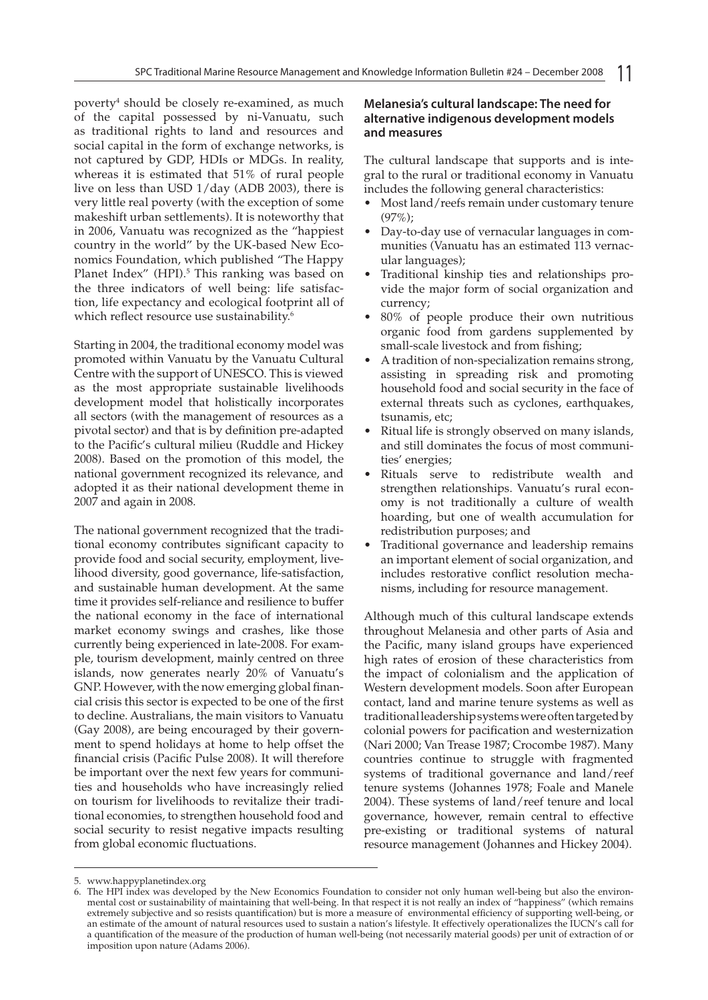poverty4 should be closely re-examined, as much of the capital possessed by ni-Vanuatu, such as traditional rights to land and resources and social capital in the form of exchange networks, is not captured by GDP, HDIs or MDGs. In reality, whereas it is estimated that 51% of rural people live on less than USD 1/day (ADB 2003), there is very little real poverty (with the exception of some makeshift urban settlements). It is noteworthy that in 2006, Vanuatu was recognized as the "happiest country in the world" by the UK-based New Economics Foundation, which published "The Happy Planet Index" (HPI).<sup>5</sup> This ranking was based on the three indicators of well being: life satisfaction, life expectancy and ecological footprint all of which reflect resource use sustainability.<sup>6</sup>

Starting in 2004, the traditional economy model was promoted within Vanuatu by the Vanuatu Cultural Centre with the support of UNESCO. This is viewed as the most appropriate sustainable livelihoods development model that holistically incorporates all sectors (with the management of resources as a pivotal sector) and that is by definition pre-adapted to the Pacific's cultural milieu (Ruddle and Hickey 2008). Based on the promotion of this model, the national government recognized its relevance, and adopted it as their national development theme in 2007 and again in 2008.

The national government recognized that the traditional economy contributes significant capacity to provide food and social security, employment, livelihood diversity, good governance, life-satisfaction, and sustainable human development. At the same time it provides self-reliance and resilience to buffer the national economy in the face of international market economy swings and crashes, like those currently being experienced in late-2008. For example, tourism development, mainly centred on three islands, now generates nearly 20% of Vanuatu's GNP. However, with the now emerging global financial crisis this sector is expected to be one of the first to decline. Australians, the main visitors to Vanuatu (Gay 2008), are being encouraged by their government to spend holidays at home to help offset the financial crisis (Pacific Pulse 2008). It will therefore be important over the next few years for communities and households who have increasingly relied on tourism for livelihoods to revitalize their traditional economies, to strengthen household food and social security to resist negative impacts resulting from global economic fluctuations.

### **Melanesia's cultural landscape: The need for alternative indigenous development models and measures**

The cultural landscape that supports and is integral to the rural or traditional economy in Vanuatu includes the following general characteristics:

- Most land/reefs remain under customary tenure (97%);
- Day-to-day use of vernacular languages in communities (Vanuatu has an estimated 113 vernacular languages);
- Traditional kinship ties and relationships provide the major form of social organization and currency;
- 80% of people produce their own nutritious organic food from gardens supplemented by small-scale livestock and from fishing;
- A tradition of non-specialization remains strong, assisting in spreading risk and promoting household food and social security in the face of external threats such as cyclones, earthquakes, tsunamis, etc;
- Ritual life is strongly observed on many islands, and still dominates the focus of most communities' energies;
- Rituals serve to redistribute wealth and strengthen relationships. Vanuatu's rural economy is not traditionally a culture of wealth hoarding, but one of wealth accumulation for redistribution purposes; and
- Traditional governance and leadership remains an important element of social organization, and includes restorative conflict resolution mechanisms, including for resource management.

Although much of this cultural landscape extends throughout Melanesia and other parts of Asia and the Pacific, many island groups have experienced high rates of erosion of these characteristics from the impact of colonialism and the application of Western development models. Soon after European contact, land and marine tenure systems as well as traditional leadership systems were often targeted by colonial powers for pacification and westernization (Nari 2000; Van Trease 1987; Crocombe 1987). Many countries continue to struggle with fragmented systems of traditional governance and land/reef tenure systems (Johannes 1978; Foale and Manele 2004). These systems of land/reef tenure and local governance, however, remain central to effective pre-existing or traditional systems of natural resource management (Johannes and Hickey 2004).

<sup>5.</sup> www.happyplanetindex.org

<sup>6.</sup> The HPI index was developed by the New Economics Foundation to consider not only human well-being but also the environmental cost or sustainability of maintaining that well-being. In that respect it is not really an index of "happiness" (which remains extremely subjective and so resists quantification) but is more a measure of environmental efficiency of supporting well-being, or an estimate of the amount of natural resources used to sustain a nation's lifestyle. It effectively operationalizes the IUCN's call for a quantification of the measure of the production of human well-being (not necessarily material goods) per unit of extraction of or imposition upon nature (Adams 2006).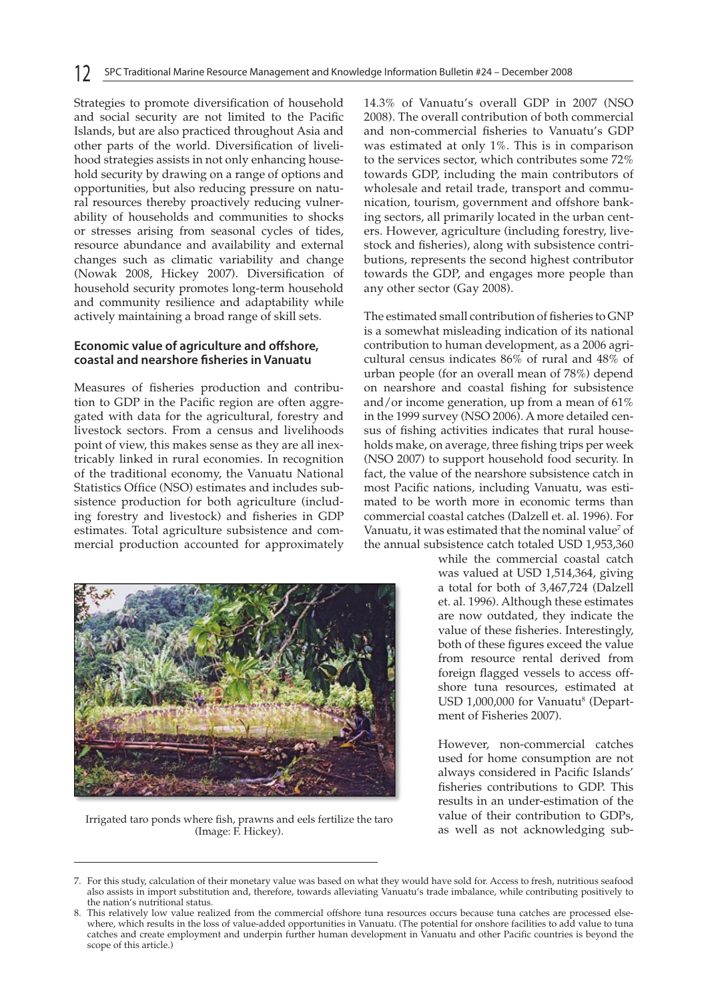Strategies to promote diversification of household and social security are not limited to the Pacific Islands, but are also practiced throughout Asia and other parts of the world. Diversification of livelihood strategies assists in not only enhancing household security by drawing on a range of options and opportunities, but also reducing pressure on natural resources thereby proactively reducing vulnerability of households and communities to shocks or stresses arising from seasonal cycles of tides, resource abundance and availability and external changes such as climatic variability and change (Nowak 2008, Hickey 2007). Diversification of household security promotes long-term household and community resilience and adaptability while actively maintaining a broad range of skill sets.

### **Economic value of agriculture and offshore, coastal and nearshore fisheries in Vanuatu**

Measures of fisheries production and contribution to GDP in the Pacific region are often aggregated with data for the agricultural, forestry and livestock sectors. From a census and livelihoods point of view, this makes sense as they are all inextricably linked in rural economies. In recognition of the traditional economy, the Vanuatu National Statistics Office (NSO) estimates and includes subsistence production for both agriculture (including forestry and livestock) and fisheries in GDP estimates. Total agriculture subsistence and commercial production accounted for approximately



Irrigated taro ponds where fish, prawns and eels fertilize the taro (Image: F. Hickey).

14.3% of Vanuatu's overall GDP in 2007 (NSO 2008). The overall contribution of both commercial and non-commercial fisheries to Vanuatu's GDP was estimated at only 1%. This is in comparison to the services sector, which contributes some 72% towards GDP, including the main contributors of wholesale and retail trade, transport and communication, tourism, government and offshore banking sectors, all primarily located in the urban centers. However, agriculture (including forestry, livestock and fisheries), along with subsistence contributions, represents the second highest contributor towards the GDP, and engages more people than any other sector (Gay 2008).

The estimated small contribution of fisheries to GNP is a somewhat misleading indication of its national contribution to human development, as a 2006 agricultural census indicates 86% of rural and 48% of urban people (for an overall mean of 78%) depend on nearshore and coastal fishing for subsistence and/or income generation, up from a mean of 61% in the 1999 survey (NSO 2006). A more detailed census of fishing activities indicates that rural households make, on average, three fishing trips per week (NSO 2007) to support household food security. In fact, the value of the nearshore subsistence catch in most Pacific nations, including Vanuatu, was estimated to be worth more in economic terms than commercial coastal catches (Dalzell et. al. 1996). For Vanuatu, it was estimated that the nominal value<sup>7</sup> of the annual subsistence catch totaled USD 1,953,360

> while the commercial coastal catch was valued at USD 1,514,364, giving a total for both of 3,467,724 (Dalzell et. al. 1996). Although these estimates are now outdated, they indicate the value of these fisheries. Interestingly, both of these figures exceed the value from resource rental derived from foreign flagged vessels to access offshore tuna resources, estimated at USD 1,000,000 for Vanuatu<sup>8</sup> (Department of Fisheries 2007).

> However, non-commercial catches used for home consumption are not always considered in Pacific Islands' fisheries contributions to GDP. This results in an under-estimation of the value of their contribution to GDPs, as well as not acknowledging sub-

<sup>7.</sup> For this study, calculation of their monetary value was based on what they would have sold for. Access to fresh, nutritious seafood also assists in import substitution and, therefore, towards alleviating Vanuatu's trade imbalance, while contributing positively to the nation's nutritional status.

<sup>8.</sup> This relatively low value realized from the commercial offshore tuna resources occurs because tuna catches are processed elsewhere, which results in the loss of value-added opportunities in Vanuatu. (The potential for onshore facilities to add value to tuna catches and create employment and underpin further human development in Vanuatu and other Pacific countries is beyond the scope of this article.)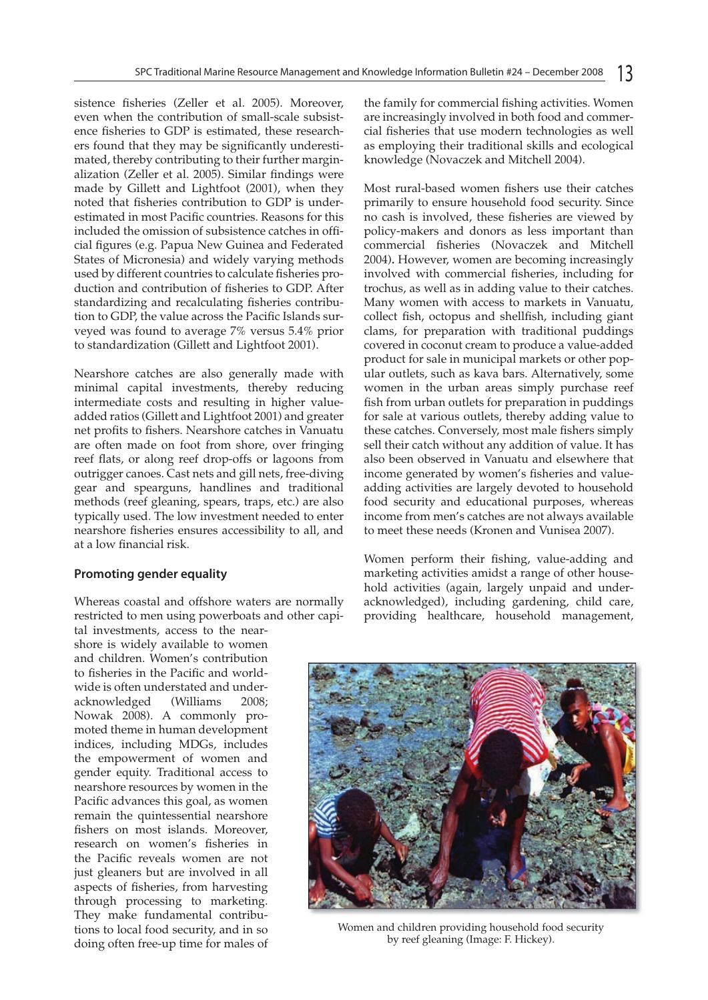sistence fisheries (Zeller et al. 2005). Moreover, even when the contribution of small-scale subsistence fisheries to GDP is estimated, these researchers found that they may be significantly underestimated, thereby contributing to their further marginalization (Zeller et al. 2005). Similar findings were made by Gillett and Lightfoot (2001), when they noted that fisheries contribution to GDP is underestimated in most Pacific countries. Reasons for this included the omission of subsistence catches in official figures (e.g. Papua New Guinea and Federated States of Micronesia) and widely varying methods used by different countries to calculate fisheries production and contribution of fisheries to GDP. After standardizing and recalculating fisheries contribution to GDP, the value across the Pacific Islands surveyed was found to average 7% versus 5.4% prior to standardization (Gillett and Lightfoot 2001).

Nearshore catches are also generally made with minimal capital investments, thereby reducing intermediate costs and resulting in higher valueadded ratios (Gillett and Lightfoot 2001) and greater net profits to fishers. Nearshore catches in Vanuatu are often made on foot from shore, over fringing reef flats, or along reef drop-offs or lagoons from outrigger canoes. Cast nets and gill nets, free-diving gear and spearguns, handlines and traditional methods (reef gleaning, spears, traps, etc.) are also typically used. The low investment needed to enter nearshore fisheries ensures accessibility to all, and at a low financial risk.

### **Promoting gender equality**

Whereas coastal and offshore waters are normally restricted to men using powerboats and other capi-

tal investments, access to the nearshore is widely available to women and children. Women's contribution to fisheries in the Pacific and worldwide is often understated and underacknowledged (Williams 2008; Nowak 2008). A commonly promoted theme in human development indices, including MDGs, includes the empowerment of women and gender equity. Traditional access to nearshore resources by women in the Pacific advances this goal, as women remain the quintessential nearshore fishers on most islands. Moreover, research on women's fisheries in the Pacific reveals women are not just gleaners but are involved in all aspects of fisheries, from harvesting through processing to marketing. They make fundamental contributions to local food security, and in so doing often free-up time for males of the family for commercial fishing activities. Women are increasingly involved in both food and commercial fisheries that use modern technologies as well as employing their traditional skills and ecological knowledge (Novaczek and Mitchell 2004).

Most rural-based women fishers use their catches primarily to ensure household food security. Since no cash is involved, these fisheries are viewed by policy-makers and donors as less important than commercial fisheries (Novaczek and Mitchell 2004)*.* However, women are becoming increasingly involved with commercial fisheries, including for trochus, as well as in adding value to their catches. Many women with access to markets in Vanuatu, collect fish, octopus and shellfish, including giant clams, for preparation with traditional puddings covered in coconut cream to produce a value-added product for sale in municipal markets or other popular outlets, such as kava bars. Alternatively, some women in the urban areas simply purchase reef fish from urban outlets for preparation in puddings for sale at various outlets, thereby adding value to these catches. Conversely, most male fishers simply sell their catch without any addition of value. It has also been observed in Vanuatu and elsewhere that income generated by women's fisheries and valueadding activities are largely devoted to household food security and educational purposes, whereas income from men's catches are not always available to meet these needs (Kronen and Vunisea 2007).

Women perform their fishing, value-adding and marketing activities amidst a range of other household activities (again, largely unpaid and underacknowledged), including gardening, child care, providing healthcare, household management,



Women and children providing household food security by reef gleaning (Image: F. Hickey).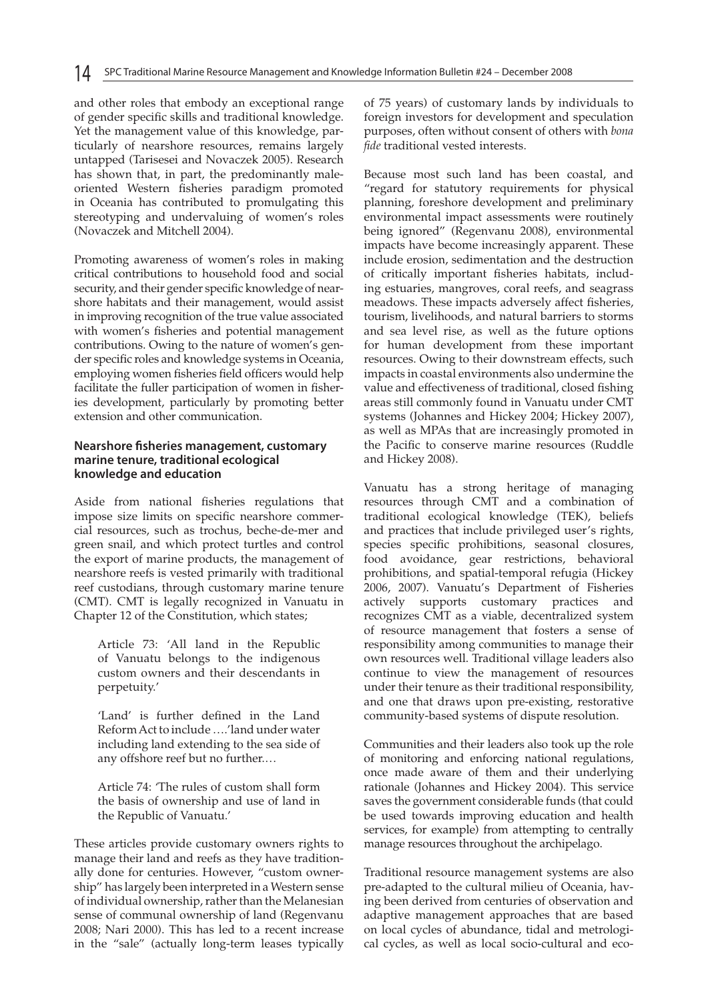and other roles that embody an exceptional range of gender specific skills and traditional knowledge. Yet the management value of this knowledge, particularly of nearshore resources, remains largely untapped (Tarisesei and Novaczek 2005). Research has shown that, in part, the predominantly maleoriented Western fisheries paradigm promoted in Oceania has contributed to promulgating this stereotyping and undervaluing of women's roles (Novaczek and Mitchell 2004).

Promoting awareness of women's roles in making critical contributions to household food and social security, and their gender specific knowledge of nearshore habitats and their management, would assist in improving recognition of the true value associated with women's fisheries and potential management contributions. Owing to the nature of women's gender specific roles and knowledge systems in Oceania, employing women fisheries field officers would help facilitate the fuller participation of women in fisheries development, particularly by promoting better extension and other communication.

#### **Nearshore fisheries management, customary marine tenure, traditional ecological knowledge and education**

Aside from national fisheries regulations that impose size limits on specific nearshore commercial resources, such as trochus, beche-de-mer and green snail, and which protect turtles and control the export of marine products, the management of nearshore reefs is vested primarily with traditional reef custodians, through customary marine tenure (CMT). CMT is legally recognized in Vanuatu in Chapter 12 of the Constitution, which states;

Article 73: 'All land in the Republic of Vanuatu belongs to the indigenous custom owners and their descendants in perpetuity.'

'Land' is further defined in the Land Reform Act to include ….'land under water including land extending to the sea side of any offshore reef but no further.…

Article 74: 'The rules of custom shall form the basis of ownership and use of land in the Republic of Vanuatu.'

These articles provide customary owners rights to manage their land and reefs as they have traditionally done for centuries. However, "custom ownership" has largely been interpreted in a Western sense of individual ownership, rather than the Melanesian sense of communal ownership of land (Regenvanu 2008; Nari 2000). This has led to a recent increase in the "sale" (actually long-term leases typically of 75 years) of customary lands by individuals to foreign investors for development and speculation purposes, often without consent of others with *bona fide* traditional vested interests.

Because most such land has been coastal, and "regard for statutory requirements for physical planning, foreshore development and preliminary environmental impact assessments were routinely being ignored" (Regenvanu 2008), environmental impacts have become increasingly apparent. These include erosion, sedimentation and the destruction of critically important fisheries habitats, including estuaries, mangroves, coral reefs, and seagrass meadows. These impacts adversely affect fisheries, tourism, livelihoods, and natural barriers to storms and sea level rise, as well as the future options for human development from these important resources. Owing to their downstream effects, such impacts in coastal environments also undermine the value and effectiveness of traditional, closed fishing areas still commonly found in Vanuatu under CMT systems (Johannes and Hickey 2004; Hickey 2007), as well as MPAs that are increasingly promoted in the Pacific to conserve marine resources (Ruddle and Hickey 2008).

Vanuatu has a strong heritage of managing resources through CMT and a combination of traditional ecological knowledge (TEK), beliefs and practices that include privileged user's rights, species specific prohibitions, seasonal closures, food avoidance, gear restrictions, behavioral prohibitions, and spatial-temporal refugia (Hickey 2006, 2007). Vanuatu's Department of Fisheries actively supports customary practices and recognizes CMT as a viable, decentralized system of resource management that fosters a sense of responsibility among communities to manage their own resources well. Traditional village leaders also continue to view the management of resources under their tenure as their traditional responsibility, and one that draws upon pre-existing, restorative community-based systems of dispute resolution.

Communities and their leaders also took up the role of monitoring and enforcing national regulations, once made aware of them and their underlying rationale (Johannes and Hickey 2004). This service saves the government considerable funds (that could be used towards improving education and health services, for example) from attempting to centrally manage resources throughout the archipelago.

Traditional resource management systems are also pre-adapted to the cultural milieu of Oceania, having been derived from centuries of observation and adaptive management approaches that are based on local cycles of abundance, tidal and metrological cycles, as well as local socio-cultural and eco-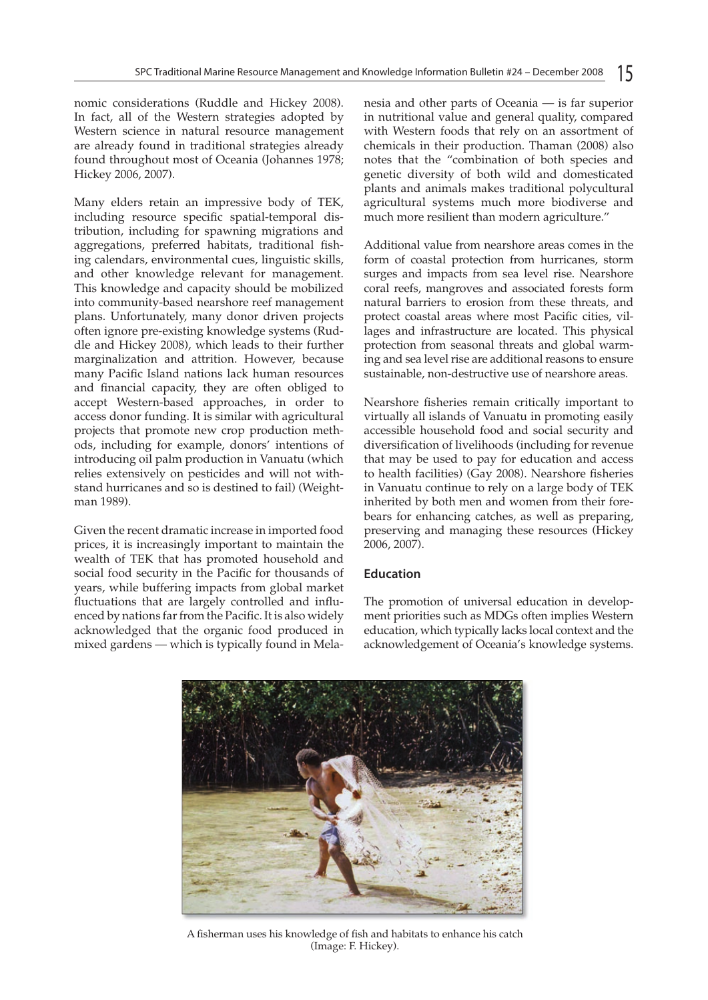nomic considerations (Ruddle and Hickey 2008). In fact, all of the Western strategies adopted by Western science in natural resource management are already found in traditional strategies already found throughout most of Oceania (Johannes 1978; Hickey 2006, 2007).

Many elders retain an impressive body of TEK, including resource specific spatial-temporal distribution, including for spawning migrations and aggregations, preferred habitats, traditional fishing calendars, environmental cues, linguistic skills, and other knowledge relevant for management. This knowledge and capacity should be mobilized into community-based nearshore reef management plans. Unfortunately, many donor driven projects often ignore pre-existing knowledge systems (Ruddle and Hickey 2008), which leads to their further marginalization and attrition. However, because many Pacific Island nations lack human resources and financial capacity, they are often obliged to accept Western-based approaches, in order to access donor funding. It is similar with agricultural projects that promote new crop production methods, including for example, donors' intentions of introducing oil palm production in Vanuatu (which relies extensively on pesticides and will not withstand hurricanes and so is destined to fail) (Weightman 1989).

Given the recent dramatic increase in imported food prices, it is increasingly important to maintain the wealth of TEK that has promoted household and social food security in the Pacific for thousands of years, while buffering impacts from global market fluctuations that are largely controlled and influenced by nations far from the Pacific. It is also widely acknowledged that the organic food produced in mixed gardens — which is typically found in Melanesia and other parts of Oceania — is far superior in nutritional value and general quality, compared with Western foods that rely on an assortment of chemicals in their production. Thaman (2008) also notes that the "combination of both species and genetic diversity of both wild and domesticated plants and animals makes traditional polycultural agricultural systems much more biodiverse and much more resilient than modern agriculture."

Additional value from nearshore areas comes in the form of coastal protection from hurricanes, storm surges and impacts from sea level rise. Nearshore coral reefs, mangroves and associated forests form natural barriers to erosion from these threats, and protect coastal areas where most Pacific cities, villages and infrastructure are located. This physical protection from seasonal threats and global warming and sea level rise are additional reasons to ensure sustainable, non-destructive use of nearshore areas.

Nearshore fisheries remain critically important to virtually all islands of Vanuatu in promoting easily accessible household food and social security and diversification of livelihoods (including for revenue that may be used to pay for education and access to health facilities) (Gay 2008). Nearshore fisheries in Vanuatu continue to rely on a large body of TEK inherited by both men and women from their forebears for enhancing catches, as well as preparing, preserving and managing these resources (Hickey 2006, 2007).

# **Education**

The promotion of universal education in development priorities such as MDGs often implies Western education, which typically lacks local context and the acknowledgement of Oceania's knowledge systems.



A fisherman uses his knowledge of fish and habitats to enhance his catch (Image: F. Hickey).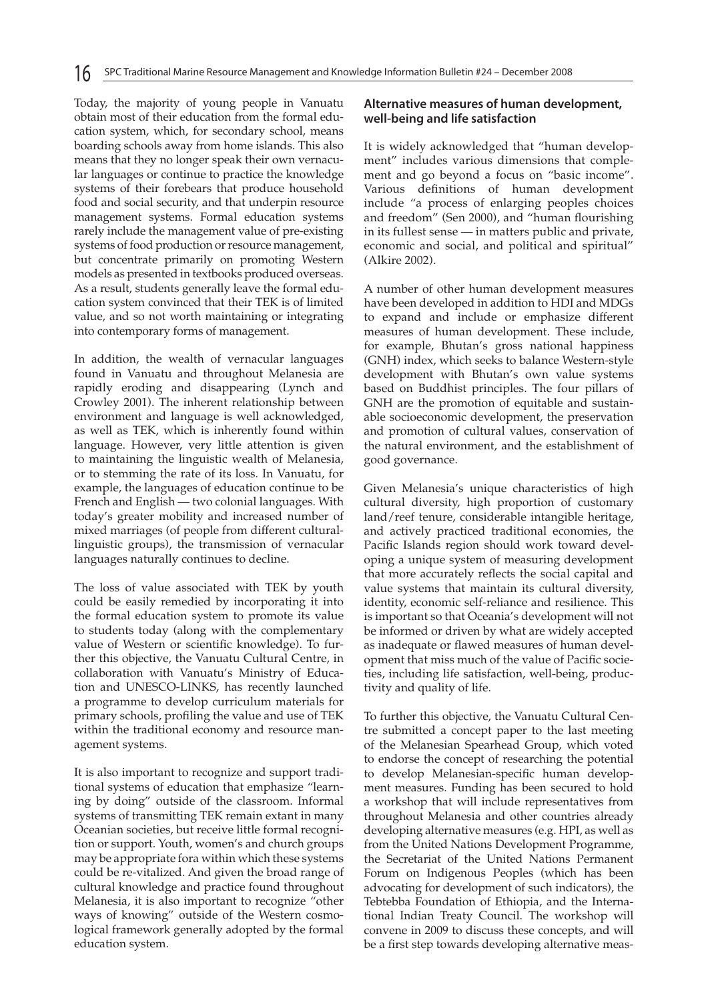Today, the majority of young people in Vanuatu obtain most of their education from the formal education system, which, for secondary school, means boarding schools away from home islands. This also means that they no longer speak their own vernacular languages or continue to practice the knowledge systems of their forebears that produce household food and social security, and that underpin resource management systems. Formal education systems rarely include the management value of pre-existing systems of food production or resource management, but concentrate primarily on promoting Western models as presented in textbooks produced overseas. As a result, students generally leave the formal education system convinced that their TEK is of limited value, and so not worth maintaining or integrating into contemporary forms of management.

In addition, the wealth of vernacular languages found in Vanuatu and throughout Melanesia are rapidly eroding and disappearing (Lynch and Crowley 2001). The inherent relationship between environment and language is well acknowledged, as well as TEK, which is inherently found within language. However, very little attention is given to maintaining the linguistic wealth of Melanesia, or to stemming the rate of its loss. In Vanuatu, for example, the languages of education continue to be French and English — two colonial languages. With today's greater mobility and increased number of mixed marriages (of people from different culturallinguistic groups), the transmission of vernacular languages naturally continues to decline.

The loss of value associated with TEK by youth could be easily remedied by incorporating it into the formal education system to promote its value to students today (along with the complementary value of Western or scientific knowledge). To further this objective, the Vanuatu Cultural Centre, in collaboration with Vanuatu's Ministry of Education and UNESCO-LINKS, has recently launched a programme to develop curriculum materials for primary schools, profiling the value and use of TEK within the traditional economy and resource management systems.

It is also important to recognize and support traditional systems of education that emphasize "learning by doing" outside of the classroom. Informal systems of transmitting TEK remain extant in many Oceanian societies, but receive little formal recognition or support. Youth, women's and church groups may be appropriate fora within which these systems could be re-vitalized. And given the broad range of cultural knowledge and practice found throughout Melanesia, it is also important to recognize "other ways of knowing" outside of the Western cosmological framework generally adopted by the formal education system.

### **Alternative measures of human development, well-being and life satisfaction**

It is widely acknowledged that "human development" includes various dimensions that complement and go beyond a focus on "basic income". Various definitions of human development include "a process of enlarging peoples choices and freedom" (Sen 2000), and "human flourishing in its fullest sense — in matters public and private, economic and social, and political and spiritual" (Alkire 2002).

A number of other human development measures have been developed in addition to HDI and MDGs to expand and include or emphasize different measures of human development. These include, for example, Bhutan's gross national happiness (GNH) index, which seeks to balance Western-style development with Bhutan's own value systems based on Buddhist principles. The four pillars of GNH are the promotion of equitable and sustainable socioeconomic development, the preservation and promotion of cultural values, conservation of the natural environment, and the establishment of good governance.

Given Melanesia's unique characteristics of high cultural diversity, high proportion of customary land/reef tenure, considerable intangible heritage, and actively practiced traditional economies, the Pacific Islands region should work toward developing a unique system of measuring development that more accurately reflects the social capital and value systems that maintain its cultural diversity, identity, economic self-reliance and resilience. This is important so that Oceania's development will not be informed or driven by what are widely accepted as inadequate or flawed measures of human development that miss much of the value of Pacific societies, including life satisfaction, well-being, productivity and quality of life.

To further this objective, the Vanuatu Cultural Centre submitted a concept paper to the last meeting of the Melanesian Spearhead Group, which voted to endorse the concept of researching the potential to develop Melanesian-specific human development measures. Funding has been secured to hold a workshop that will include representatives from throughout Melanesia and other countries already developing alternative measures (e.g. HPI, as well as from the United Nations Development Programme, the Secretariat of the United Nations Permanent Forum on Indigenous Peoples (which has been advocating for development of such indicators), the Tebtebba Foundation of Ethiopia, and the International Indian Treaty Council. The workshop will convene in 2009 to discuss these concepts, and will be a first step towards developing alternative meas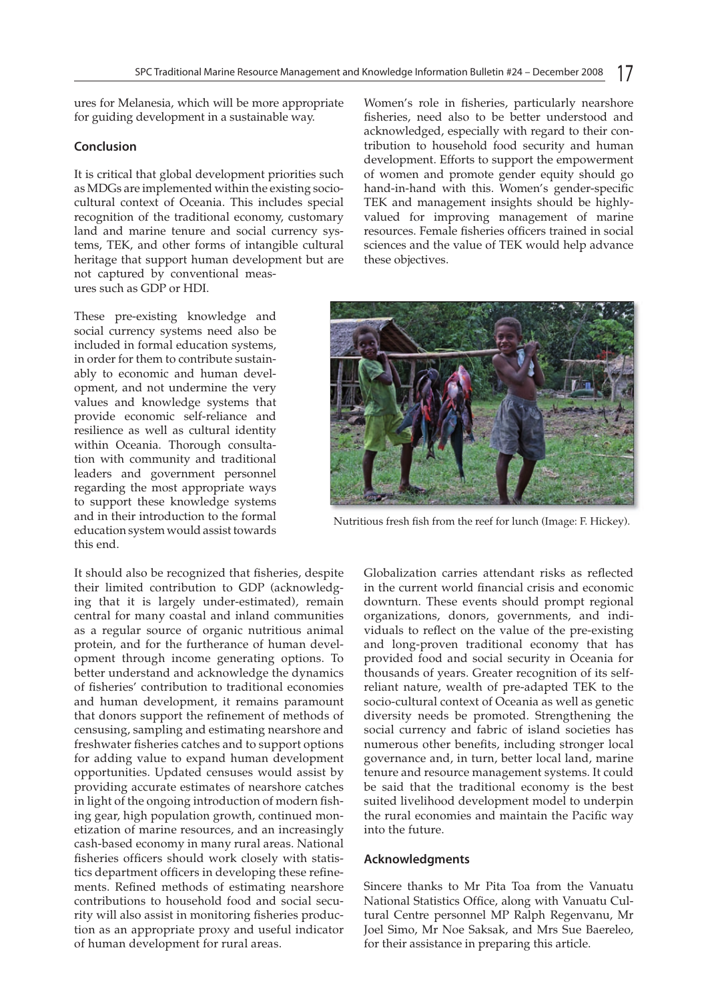ures for Melanesia, which will be more appropriate for guiding development in a sustainable way.

#### **Conclusion**

It is critical that global development priorities such as MDGs are implemented within the existing sociocultural context of Oceania. This includes special recognition of the traditional economy, customary land and marine tenure and social currency systems, TEK, and other forms of intangible cultural heritage that support human development but are not captured by conventional measures such as GDP or HDI.

These pre-existing knowledge and social currency systems need also be included in formal education systems, in order for them to contribute sustainably to economic and human development, and not undermine the very values and knowledge systems that provide economic self-reliance and resilience as well as cultural identity within Oceania. Thorough consultation with community and traditional leaders and government personnel regarding the most appropriate ways to support these knowledge systems and in their introduction to the formal education system would assist towards this end.

It should also be recognized that fisheries, despite their limited contribution to GDP (acknowledging that it is largely under-estimated), remain central for many coastal and inland communities as a regular source of organic nutritious animal protein, and for the furtherance of human development through income generating options. To better understand and acknowledge the dynamics of fisheries' contribution to traditional economies and human development, it remains paramount that donors support the refinement of methods of censusing, sampling and estimating nearshore and freshwater fisheries catches and to support options for adding value to expand human development opportunities. Updated censuses would assist by providing accurate estimates of nearshore catches in light of the ongoing introduction of modern fishing gear, high population growth, continued monetization of marine resources, and an increasingly cash-based economy in many rural areas. National fisheries officers should work closely with statistics department officers in developing these refinements. Refined methods of estimating nearshore contributions to household food and social security will also assist in monitoring fisheries production as an appropriate proxy and useful indicator of human development for rural areas.

Women's role in fisheries, particularly nearshore fisheries, need also to be better understood and acknowledged, especially with regard to their contribution to household food security and human development. Efforts to support the empowerment of women and promote gender equity should go hand-in-hand with this. Women's gender-specific TEK and management insights should be highlyvalued for improving management of marine resources. Female fisheries officers trained in social sciences and the value of TEK would help advance these objectives.



Nutritious fresh fish from the reef for lunch (Image: F. Hickey).

Globalization carries attendant risks as reflected in the current world financial crisis and economic downturn. These events should prompt regional organizations, donors, governments, and individuals to reflect on the value of the pre-existing and long-proven traditional economy that has provided food and social security in Oceania for thousands of years. Greater recognition of its selfreliant nature, wealth of pre-adapted TEK to the socio-cultural context of Oceania as well as genetic diversity needs be promoted. Strengthening the social currency and fabric of island societies has numerous other benefits, including stronger local governance and, in turn, better local land, marine tenure and resource management systems. It could be said that the traditional economy is the best suited livelihood development model to underpin the rural economies and maintain the Pacific way into the future.

#### **Acknowledgments**

Sincere thanks to Mr Pita Toa from the Vanuatu National Statistics Office, along with Vanuatu Cultural Centre personnel MP Ralph Regenvanu, Mr Joel Simo, Mr Noe Saksak, and Mrs Sue Baereleo, for their assistance in preparing this article.